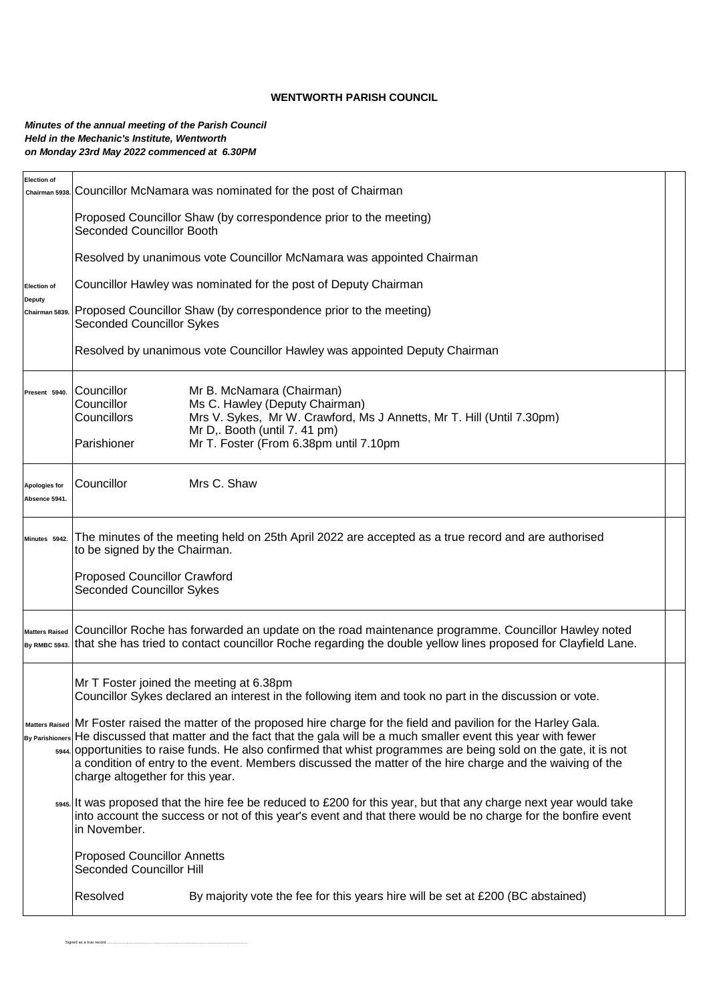## **WENTWORTH PARISH COUNCIL**

## *Minutes of the annual meeting of the Parish Council Held in the Mechanic's Institute, Wentworth on Monday 23rd May 2022 commenced at 6.30PM*

Signed as a true record ..............

| <b>Election of</b><br>Chairman 5938. | Councillor McNamara was nominated for the post of Chairman                                                                                                                                                                                                                                                                                                                                                                                                                                                                                                                                                                              |  |  |  |  |  |  |  |
|--------------------------------------|-----------------------------------------------------------------------------------------------------------------------------------------------------------------------------------------------------------------------------------------------------------------------------------------------------------------------------------------------------------------------------------------------------------------------------------------------------------------------------------------------------------------------------------------------------------------------------------------------------------------------------------------|--|--|--|--|--|--|--|
|                                      | Proposed Councillor Shaw (by correspondence prior to the meeting)<br><b>Seconded Councillor Booth</b>                                                                                                                                                                                                                                                                                                                                                                                                                                                                                                                                   |  |  |  |  |  |  |  |
|                                      | Resolved by unanimous vote Councillor McNamara was appointed Chairman                                                                                                                                                                                                                                                                                                                                                                                                                                                                                                                                                                   |  |  |  |  |  |  |  |
| <b>Election of</b>                   | Councillor Hawley was nominated for the post of Deputy Chairman                                                                                                                                                                                                                                                                                                                                                                                                                                                                                                                                                                         |  |  |  |  |  |  |  |
| <b>Deputy</b><br>Chairman 5839.      | Proposed Councillor Shaw (by correspondence prior to the meeting)<br><b>Seconded Councillor Sykes</b>                                                                                                                                                                                                                                                                                                                                                                                                                                                                                                                                   |  |  |  |  |  |  |  |
|                                      | Resolved by unanimous vote Councillor Hawley was appointed Deputy Chairman                                                                                                                                                                                                                                                                                                                                                                                                                                                                                                                                                              |  |  |  |  |  |  |  |
| Present 5940.                        | Councillor<br>Mr B. McNamara (Chairman)<br>Councillor<br>Ms C. Hawley (Deputy Chairman)<br>Councillors<br>Mrs V. Sykes, Mr W. Crawford, Ms J Annetts, Mr T. Hill (Until 7.30pm)<br>Mr D,. Booth (until 7.41 pm)<br>Mr T. Foster (From 6.38pm until 7.10pm<br>Parishioner                                                                                                                                                                                                                                                                                                                                                                |  |  |  |  |  |  |  |
| Apologies for<br>Absence 5941.       | Councillor<br>Mrs C. Shaw                                                                                                                                                                                                                                                                                                                                                                                                                                                                                                                                                                                                               |  |  |  |  |  |  |  |
| Minutes 5942.                        | The minutes of the meeting held on 25th April 2022 are accepted as a true record and are authorised<br>to be signed by the Chairman.<br><b>Proposed Councillor Crawford</b><br><b>Seconded Councillor Sykes</b>                                                                                                                                                                                                                                                                                                                                                                                                                         |  |  |  |  |  |  |  |
| <b>Matters Raised</b>                | Councillor Roche has forwarded an update on the road maintenance programme. Councillor Hawley noted<br>By RMBC 5943. that she has tried to contact councillor Roche regarding the double yellow lines proposed for Clayfield Lane.                                                                                                                                                                                                                                                                                                                                                                                                      |  |  |  |  |  |  |  |
|                                      | Mr T Foster joined the meeting at 6.38pm<br>Councillor Sykes declared an interest in the following item and took no part in the discussion or vote.<br>Matters Raised Mr Foster raised the matter of the proposed hire charge for the field and pavilion for the Harley Gala.<br>By Parishioners He discussed that matter and the fact that the gala will be a much smaller event this year with fewer<br>5944 opportunities to raise funds. He also confirmed that whist programmes are being sold on the gate, it is not<br>a condition of entry to the event. Members discussed the matter of the hire charge and the waiving of the |  |  |  |  |  |  |  |
|                                      | charge altogether for this year.<br>5945. It was proposed that the hire fee be reduced to £200 for this year, but that any charge next year would take<br>into account the success or not of this year's event and that there would be no charge for the bonfire event<br>in November.                                                                                                                                                                                                                                                                                                                                                  |  |  |  |  |  |  |  |
|                                      | <b>Proposed Councillor Annetts</b><br><b>Seconded Councillor Hill</b>                                                                                                                                                                                                                                                                                                                                                                                                                                                                                                                                                                   |  |  |  |  |  |  |  |
|                                      | Resolved<br>By majority vote the fee for this years hire will be set at £200 (BC abstained)                                                                                                                                                                                                                                                                                                                                                                                                                                                                                                                                             |  |  |  |  |  |  |  |
|                                      |                                                                                                                                                                                                                                                                                                                                                                                                                                                                                                                                                                                                                                         |  |  |  |  |  |  |  |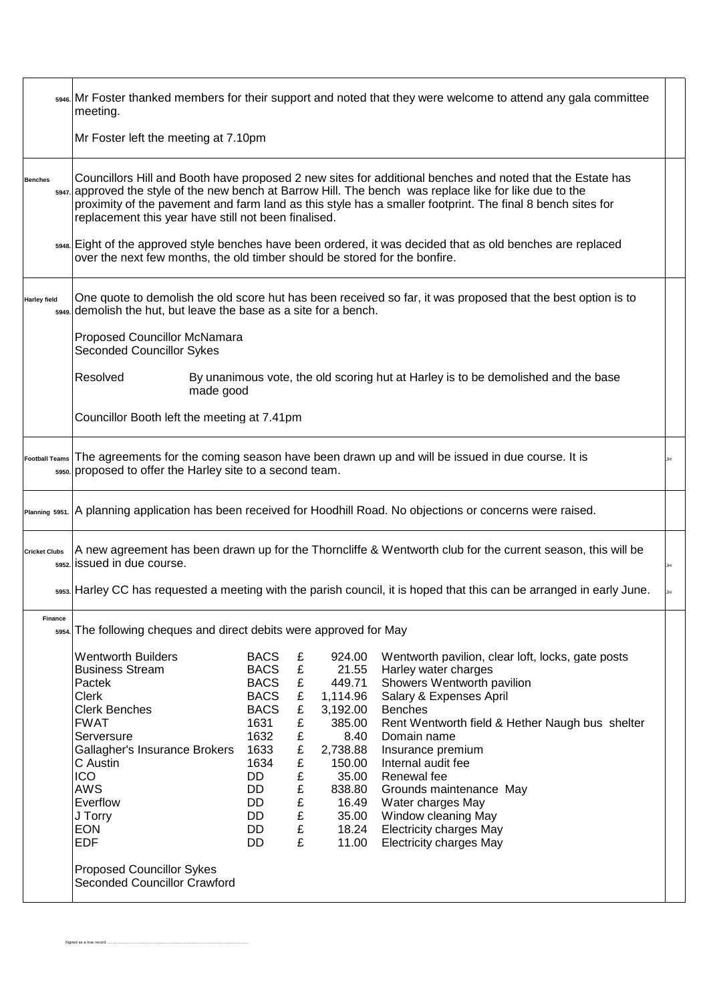|                       | <sub>5946</sub> Mr Foster thanked members for their support and noted that they were welcome to attend any gala committee<br>meeting.                                                                                                                                                                                                                                                                                                                                                                                                                                                     |                                                                                                                                             |                                                                         |                                                                                                                                                  |                                                                                                                                                                                                                                                                                                                                                                                                                             |  |  |  |
|-----------------------|-------------------------------------------------------------------------------------------------------------------------------------------------------------------------------------------------------------------------------------------------------------------------------------------------------------------------------------------------------------------------------------------------------------------------------------------------------------------------------------------------------------------------------------------------------------------------------------------|---------------------------------------------------------------------------------------------------------------------------------------------|-------------------------------------------------------------------------|--------------------------------------------------------------------------------------------------------------------------------------------------|-----------------------------------------------------------------------------------------------------------------------------------------------------------------------------------------------------------------------------------------------------------------------------------------------------------------------------------------------------------------------------------------------------------------------------|--|--|--|
|                       | Mr Foster left the meeting at 7.10pm                                                                                                                                                                                                                                                                                                                                                                                                                                                                                                                                                      |                                                                                                                                             |                                                                         |                                                                                                                                                  |                                                                                                                                                                                                                                                                                                                                                                                                                             |  |  |  |
| <b>Benches</b>        | Councillors Hill and Booth have proposed 2 new sites for additional benches and noted that the Estate has<br>5947. approved the style of the new bench at Barrow Hill. The bench was replace like for like due to the<br>proximity of the pavement and farm land as this style has a smaller footprint. The final 8 bench sites for<br>replacement this year have still not been finalised.<br>ss48. Eight of the approved style benches have been ordered, it was decided that as old benches are replaced<br>over the next few months, the old timber should be stored for the bonfire. |                                                                                                                                             |                                                                         |                                                                                                                                                  |                                                                                                                                                                                                                                                                                                                                                                                                                             |  |  |  |
| <b>Harley field</b>   | One quote to demolish the old score hut has been received so far, it was proposed that the best option is to<br>5949. demolish the hut, but leave the base as a site for a bench.                                                                                                                                                                                                                                                                                                                                                                                                         |                                                                                                                                             |                                                                         |                                                                                                                                                  |                                                                                                                                                                                                                                                                                                                                                                                                                             |  |  |  |
|                       | <b>Proposed Councillor McNamara</b><br><b>Seconded Councillor Sykes</b>                                                                                                                                                                                                                                                                                                                                                                                                                                                                                                                   |                                                                                                                                             |                                                                         |                                                                                                                                                  |                                                                                                                                                                                                                                                                                                                                                                                                                             |  |  |  |
|                       | Resolved<br>By unanimous vote, the old scoring hut at Harley is to be demolished and the base<br>made good                                                                                                                                                                                                                                                                                                                                                                                                                                                                                |                                                                                                                                             |                                                                         |                                                                                                                                                  |                                                                                                                                                                                                                                                                                                                                                                                                                             |  |  |  |
|                       | Councillor Booth left the meeting at 7.41pm                                                                                                                                                                                                                                                                                                                                                                                                                                                                                                                                               |                                                                                                                                             |                                                                         |                                                                                                                                                  |                                                                                                                                                                                                                                                                                                                                                                                                                             |  |  |  |
| <b>Football Teams</b> | The agreements for the coming season have been drawn up and will be issued in due course. It is<br>JH<br>5950. proposed to offer the Harley site to a second team.                                                                                                                                                                                                                                                                                                                                                                                                                        |                                                                                                                                             |                                                                         |                                                                                                                                                  |                                                                                                                                                                                                                                                                                                                                                                                                                             |  |  |  |
| Planning 5951.        |                                                                                                                                                                                                                                                                                                                                                                                                                                                                                                                                                                                           |                                                                                                                                             |                                                                         |                                                                                                                                                  | A planning application has been received for Hoodhill Road. No objections or concerns were raised.                                                                                                                                                                                                                                                                                                                          |  |  |  |
| <b>Cricket Clubs</b>  | A new agreement has been drawn up for the Thorncliffe & Wentworth club for the current season, this will be<br>5952 issued in due course.<br>JH                                                                                                                                                                                                                                                                                                                                                                                                                                           |                                                                                                                                             |                                                                         |                                                                                                                                                  |                                                                                                                                                                                                                                                                                                                                                                                                                             |  |  |  |
|                       |                                                                                                                                                                                                                                                                                                                                                                                                                                                                                                                                                                                           |                                                                                                                                             |                                                                         |                                                                                                                                                  | ssss. Harley CC has requested a meeting with the parish council, it is hoped that this can be arranged in early June.                                                                                                                                                                                                                                                                                                       |  |  |  |
| Finance               | 5954. The following cheques and direct debits were approved for May                                                                                                                                                                                                                                                                                                                                                                                                                                                                                                                       |                                                                                                                                             |                                                                         |                                                                                                                                                  |                                                                                                                                                                                                                                                                                                                                                                                                                             |  |  |  |
|                       | <b>Wentworth Builders</b><br><b>Business Stream</b><br>Pactek<br>Clerk<br><b>Clerk Benches</b><br><b>FWAT</b><br>Serversure<br>Gallagher's Insurance Brokers<br>C Austin<br><b>ICO</b><br><b>AWS</b><br>Everflow<br>J Torry<br><b>EON</b><br><b>EDF</b><br><b>Proposed Councillor Sykes</b><br><b>Seconded Councillor Crawford</b>                                                                                                                                                                                                                                                        | <b>BACS</b><br><b>BACS</b><br><b>BACS</b><br><b>BACS</b><br><b>BACS</b><br>1631<br>1632<br>1633<br>1634<br>DD<br>DD<br>DD<br>DD<br>DD<br>DD | £<br>£<br>£<br>£<br>£<br>£<br>£<br>£<br>£<br>£<br>£<br>£<br>£<br>£<br>£ | 924.00<br>21.55<br>449.71<br>1,114.96<br>3,192.00<br>385.00<br>8.40<br>2,738.88<br>150.00<br>35.00<br>838.80<br>16.49<br>35.00<br>18.24<br>11.00 | Wentworth pavilion, clear loft, locks, gate posts<br>Harley water charges<br>Showers Wentworth pavilion<br>Salary & Expenses April<br><b>Benches</b><br>Rent Wentworth field & Hether Naugh bus shelter<br>Domain name<br>Insurance premium<br>Internal audit fee<br>Renewal fee<br>Grounds maintenance May<br>Water charges May<br>Window cleaning May<br><b>Electricity charges May</b><br><b>Electricity charges May</b> |  |  |  |
|                       |                                                                                                                                                                                                                                                                                                                                                                                                                                                                                                                                                                                           |                                                                                                                                             |                                                                         |                                                                                                                                                  |                                                                                                                                                                                                                                                                                                                                                                                                                             |  |  |  |

Signed as a true record ...........